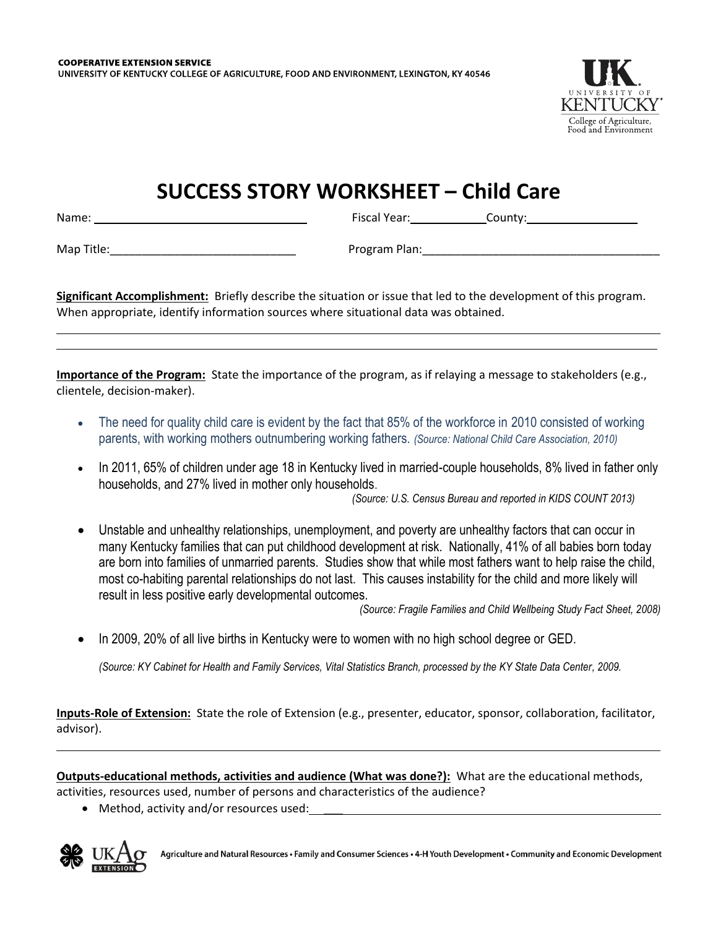

## **SUCCESS STORY WORKSHEET – Child Care**

Name: Fiscal Year: County:

Map Title:\_\_\_\_\_\_\_\_\_\_\_\_\_\_\_\_\_\_\_\_\_\_\_\_\_\_\_\_\_ Program Plan:\_\_\_\_\_\_\_\_\_\_\_\_\_\_\_\_\_\_\_\_\_\_\_\_\_\_\_\_\_\_\_\_\_\_\_\_\_

**Significant Accomplishment:** Briefly describe the situation or issue that led to the development of this program. When appropriate, identify information sources where situational data was obtained.

**Importance of the Program:** State the importance of the program, as if relaying a message to stakeholders (e.g., clientele, decision-maker).

- The need for quality child care is evident by the fact that 85% of the workforce in 2010 consisted of working parents, with working mothers outnumbering working fathers. *(Source: National Child Care Association, 2010)*
- In 2011, 65% of children under age 18 in Kentucky lived in married-couple households, 8% lived in father only households, and 27% lived in mother only households.

*(Source: U.S. Census Bureau and reported in KIDS COUNT 2013)*

 Unstable and unhealthy relationships, unemployment, and poverty are unhealthy factors that can occur in many Kentucky families that can put childhood development at risk. Nationally, 41% of all babies born today are born into families of unmarried parents. Studies show that while most fathers want to help raise the child, most co-habiting parental relationships do not last. This causes instability for the child and more likely will result in less positive early developmental outcomes.

*(Source: Fragile Families and Child Wellbeing Study Fact Sheet, 2008)*

In 2009, 20% of all live births in Kentucky were to women with no high school degree or GED.

*(Source: KY Cabinet for Health and Family Services, Vital Statistics Branch, processed by the KY State Data Center, 2009.* 

**Inputs-Role of Extension:** State the role of Extension (e.g., presenter, educator, sponsor, collaboration, facilitator, advisor).

**Outputs-educational methods, activities and audience (What was done?):** What are the educational methods,

activities, resources used, number of persons and characteristics of the audience?

• Method, activity and/or resources used:



Agriculture and Natural Resources · Family and Consumer Sciences · 4-H Youth Development · Community and Economic Development